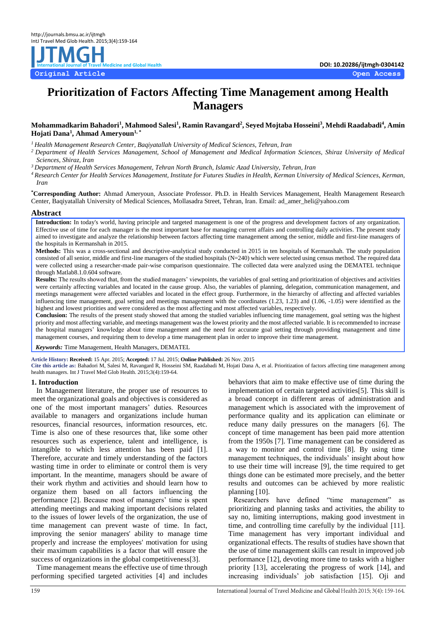

# **Prioritization of Factors Affecting Time Management among Health Managers**

## **Mohammadkarim Bahadori<sup>1</sup> , Mahmood Salesi<sup>1</sup> , Ramin Ravangard<sup>2</sup> , Seyed Mojtaba Hosseini<sup>3</sup> , Mehdi Raadabadi<sup>4</sup> , Amin Hojati Dana<sup>1</sup> , Ahmad Ameryoun1, \***

*<sup>1</sup>Health Management Research Center, Baqiyatallah University of Medical Sciences, Tehran, Iran*

*<sup>2</sup>Department of Health Services Management, School of Management and Medical Information Sciences, Shiraz University of Medical Sciences, Shiraz, Iran*

*<sup>3</sup>Department of Health Services Management, Tehran North Branch, Islamic Azad University, Tehran, Iran*

*<sup>4</sup>Research Center for Health Services Management, Institute for Futures Studies in Health, Kerman University of Medical Sciences, Kerman, Iran*

**\*Corresponding Author:** Ahmad Ameryoun, Associate Professor. Ph.D. in Health Services Management, Health Management Research Center, Baqiyatallah University of Medical Sciences, Mollasadra Street, Tehran, Iran. Email: ad\_amer\_heli@yahoo.com

## **Abstract**

Introduction: In today's world, having principle and targeted management is one of the progress and development factors of any organization. Effective use of time for each manager is the most important base for managing current affairs and controlling daily activities. The present study aimed to investigate and analyze the relationship between factors affecting time management among the senior, middle and first-line managers of the hospitals in Kermanshah in 2015.

**Methods:** This was a cross-sectional and descriptive-analytical study conducted in 2015 in ten hospitals of Kermanshah. The study population consisted of all senior, middle and first-line managers of the studied hospitals (N=240) which were selected using census method. The required data were collected using a researcher-made pair-wise comparison questionnaire. The collected data were analyzed using the DEMATEL technique through Matlab8.1.0.604 software.

**Results:** The results showed that, from the studied managers' viewpoints, the variables of goal setting and prioritization of objectives and activities were certainly affecting variables and located in the cause group. Also, the variables of planning, delegation, communication management, and meetings management were affected variables and located in the effect group. Furthermore, in the hierarchy of affecting and affected variables influencing time management, goal setting and meetings management with the coordinates (1.23, 1.23) and (1.06, -1.05) were identified as the highest and lowest priorities and were considered as the most affecting and most affected variables, respectively.

**Conclusion:** The results of the present study showed that among the studied variables influencing time management, goal setting was the highest priority and most affecting variable, and meetings management was the lowest priority and the most affected variable. It is recommended to increase the hospital managers' knowledge about time management and the need for accurate goal setting through providing management and time management courses, and requiring them to develop a time management plan in order to improve their time management.

*Keywords:* Time Management, Health Managers, DEMATEL

**Article History: Received:** 15 Apr. 2015; **Accepted:** 17 Jul. 2015; **Online Published:** 26 Nov. 2015

**Cite this article as:** Bahadori M, Salesi M, Ravangard R, Hosseini SM, Raadabadi M, Hojati Dana A, et al. Prioritization of factors affecting time management among health managers. Int J Travel Med Glob Health. 2015;3(4):159-64.

## **1. Introduction**

In Management literature, the proper use of resources to meet the organizational goals and objectives is considered as one of the most important managers' duties. Resources available to managers and organizations include human resources, financial resources, information resources, etc. Time is also one of these resources that, like some other resources such as experience, talent and intelligence, is intangible to which less attention has been paid [1]. Therefore, accurate and timely understanding of the factors wasting time in order to eliminate or control them is very important. In the meantime, managers should be aware of their work rhythm and activities and should learn how to organize them based on all factors influencing the performance [2]. Because most of managers' time is spent attending meetings and making important decisions related to the issues of lower levels of the organization, the use of time management can prevent waste of time. In fact, improving the senior managers' ability to manage time properly and increase the employees' motivation for using their maximum capabilities is a factor that will ensure the success of organizations in the global competitiveness[3].

Time management means the effective use of time through performing specified targeted activities [4] and includes

behaviors that aim to make effective use of time during the implementation of certain targeted activities[5]. This skill is a broad concept in different areas of administration and management which is associated with the improvement of performance quality and its application can eliminate or reduce many daily pressures on the managers [6]. The concept of time management has been paid more attention from the 1950s [7]. Time management can be considered as a way to monitor and control time [8]. By using time management techniques, the individuals' insight about how to use their time will increase [9], the time required to get things done can be estimated more precisely, and the better results and outcomes can be achieved by more realistic planning [10].

Researchers have defined "time management" as prioritizing and planning tasks and activities, the ability to say no, limiting interruptions, making good investment in time, and controlling time carefully by the individual [11]. Time management has very important individual and organizational effects. The results of studies have shown that the use of time management skills can result in improved job performance [12], devoting more time to tasks with a higher priority [13], accelerating the progress of work [14], and increasing individuals' job satisfaction [15]. Oji and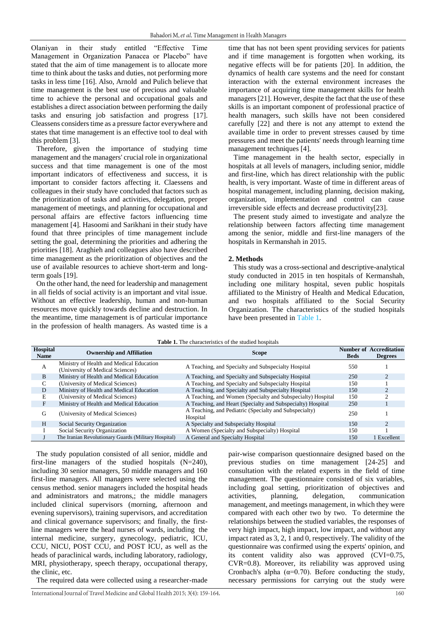Olaniyan in their study entitled "Effective Time Management in Organization Panacea or Placebo" have stated that the aim of time management is to allocate more time to think about the tasks and duties, not performing more tasks in less time [16]. Also, Arnold and Pulich believe that time management is the best use of precious and valuable time to achieve the personal and occupational goals and establishes a direct association between performing the daily tasks and ensuring job satisfaction and progress [17]. Cleassens considers time as a pressure factor everywhere and states that time management is an effective tool to deal with this problem [3].

Therefore, given the importance of studying time management and the managers' crucial role in organizational success and that time management is one of the most important indicators of effectiveness and success, it is important to consider factors affecting it. Claessens and colleagues in their study have concluded that factors such as the prioritization of tasks and activities, delegation, proper management of meetings, and planning for occupational and personal affairs are effective factors influencing time management [4]. Hasoomi and Sarikhani in their study have found that three principles of time management include setting the goal, determining the priorities and adhering the priorities [18]. Araghieh and colleagues also have described time management as the prioritization of objectives and the use of available resources to achieve short-term and longterm goals [19].

On the other hand, the need for leadership and management in all fields of social activity is an important and vital issue. Without an effective leadership, human and non-human resources move quickly towards decline and destruction. In the meantime, time management is of particular importance in the profession of health managers. As wasted time is a time that has not been spent providing services for patients and if time management is forgotten when working, its negative effects will be for patients [20]. In addition, the dynamics of health care systems and the need for constant interaction with the external environment increases the importance of acquiring time management skills for health managers [21]. However, despite the fact that the use of these skills is an important component of professional practice of health managers, such skills have not been considered carefully [22] and there is not any attempt to extend the available time in order to prevent stresses caused by time pressures and meet the patients' needs through learning time management techniques [4].

Time management in the health sector, especially in hospitals at all levels of managers, including senior, middle and first-line, which has direct relationship with the public health, is very important. Waste of time in different areas of hospital management, including planning, decision making, organization, implementation and control can cause irreversible side effects and decrease productivity[23].

The present study aimed to investigate and analyze the relationship between factors affecting time management among the senior, middle and first-line managers of the hospitals in Kermanshah in 2015.

# **2. Methods**

This study was a cross-sectional and descriptive-analytical study conducted in 2015 in ten hospitals of Kermanshah, including one military hospital, seven public hospitals affiliated to the Ministry of Health and Medical Education, and two hospitals affiliated to the Social Security Organization. The characteristics of the studied hospitals have been presented i[n Table 1.](#page-1-0)

<span id="page-1-0"></span>

| Hospital<br><b>Name</b> | <b>Ownership and Affiliation</b>                                             | <b>Scope</b>                                                       | <b>Beds</b> | <b>Number of Accreditation</b><br><b>Degrees</b> |
|-------------------------|------------------------------------------------------------------------------|--------------------------------------------------------------------|-------------|--------------------------------------------------|
| A                       | Ministry of Health and Medical Education<br>(University of Medical Sciences) | A Teaching, and Specialty and Subspecialty Hospital                | 550         |                                                  |
| <sub>B</sub>            | Ministry of Health and Medical Education                                     | A Teaching, and Specialty and Subspecialty Hospital                | 250         |                                                  |
|                         | (University of Medical Sciences)                                             | A Teaching, and Specialty and Subspecialty Hospital                | 150         |                                                  |
| D                       | Ministry of Health and Medical Education                                     | A Teaching, and Specialty and Subspecialty Hospital                | 150         |                                                  |
| E                       | (University of Medical Sciences)                                             | A Teaching, and Women (Specialty and Subspecialty) Hospital        | 150         |                                                  |
| F                       | Ministry of Health and Medical Education                                     | A Teaching, and Heart (Specialty and Subspecialty) Hospital        | 250         |                                                  |
| G                       | (University of Medical Sciences)                                             | A Teaching, and Pediatric (Specialty and Subspecialty)<br>Hospital | 250         |                                                  |
| H                       | Social Security Organization                                                 | A Specialty and Subspecialty Hospital                              | 150         |                                                  |
|                         | Social Security Organization                                                 | A Women (Specialty and Subspecialty) Hospital                      | 150         |                                                  |
|                         | The Iranian Revolutionary Guards (Military Hospital)                         | A General and Specialty Hospital                                   | 150         | 1 Excellent                                      |

**Table 1.** The characteristics of the studied hospitals

The study population consisted of all senior, middle and first-line managers of the studied hospitals (N=240), including 30 senior managers, 50 middle managers and 160 first-line managers. All managers were selected using the census method. senior managers included the hospital heads and administrators and matrons,; the middle managers included clinical supervisors (morning, afternoon and evening supervisors), training supervisors, and accreditation and clinical governance supervisors; and finally, the firstline managers were the head nurses of wards, including the internal medicine, surgery, gynecology, pediatric, ICU, CCU, NICU, POST CCU, and POST ICU, as well as the heads of paraclinical wards, including laboratory, radiology, MRI, physiotherapy, speech therapy, occupational therapy, the clinic, etc.

The required data were collected using a researcher-made

pair-wise comparison questionnaire designed based on the previous studies on time management [24-25] and consultation with the related experts in the field of time management. The questionnaire consisted of six variables, including goal setting, prioritization of objectives and activities, planning, delegation, communication management, and meetings management, in which they were compared with each other two by two. To determine the relationships between the studied variables, the responses of very high impact, high impact, low impact, and without any impact rated as 3, 2, 1 and 0, respectively. The validity of the questionnaire was confirmed using the experts' opinion, and its content validity also was approved (CVI=0.75, CVR=0.8). Moreover, its reliability was approved using Cronbach's alpha ( $\alpha$ =0.70). Before conducting the study, necessary permissions for carrying out the study were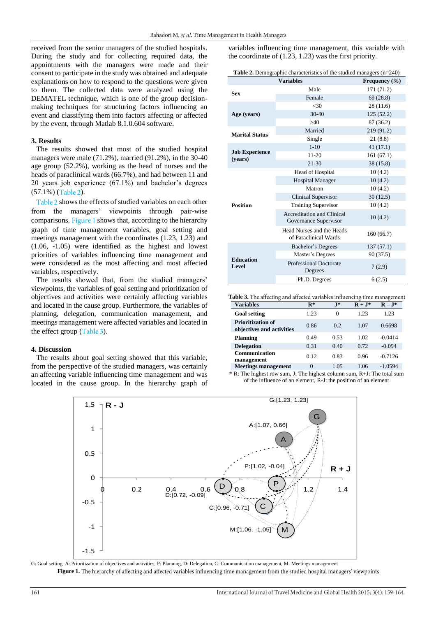received from the senior managers of the studied hospitals. During the study and for collecting required data, the appointments with the managers were made and their consent to participate in the study was obtained and adequate explanations on how to respond to the questions were given to them. The collected data were analyzed using the DEMATEL technique, which is one of the group decisionmaking techniques for structuring factors influencing an event and classifying them into factors affecting or affected by the event, through Matlab 8.1.0.604 software.

## **3. Results**

The results showed that most of the studied hospital managers were male (71.2%), married (91.2%), in the 30-40 age group (52.2%), working as the head of nurses and the heads of paraclinical wards (66.7%), and had between 11 and 20 years job experience (67.1%) and bachelor's degrees  $(57.1\%)$  $(57.1\%)$  (Table 2).

Table 2 [s](#page-2-0)hows the effects of studied variables on each other from the managers' viewpoints through pair-wise compari[s](#page-2-1)ons. Figure 1 shows that, according to the hierarchy graph of time management variables, goal setting and meetings management with the coordinates (1.23, 1.23) and (1.06, -1.05) were identified as the highest and lowest priorities of variables influencing time management and were considered as the most affecting and most affected variables, respectively.

The results showed that, from the studied managers' viewpoints, the variables of goal setting and prioritization of objectives and activities were certainly affecting variables and located in the cause group. Furthermore, the variables of planning, delegation, communication management, and meetings management were affected variables and located in the effect group  $(Table 3)$  $(Table 3)$ .

## **4. Discussion**

The results about goal setting showed that this variable, from the perspective of the studied managers, was certainly an affecting variable influencing time management and was located in the cause group. In the hierarchy graph of variables influencing time management, this variable with the coordinate of (1.23, 1.23) was the first priority.

<span id="page-2-0"></span>

| <b>Table 2.</b> Demographic characteristics of the studied managers $(n=240)$ |  |
|-------------------------------------------------------------------------------|--|
|-------------------------------------------------------------------------------|--|

|                                  | Frequency $(\% )$                                   |            |  |
|----------------------------------|-----------------------------------------------------|------------|--|
| <b>Sex</b>                       | Male                                                | 171 (71.2) |  |
|                                  | Female                                              | 69(28.8)   |  |
|                                  | < 30                                                | 28(11.6)   |  |
| Age (years)                      | $30 - 40$                                           | 125(52.2)  |  |
|                                  | >40                                                 | 87(36.2)   |  |
| <b>Marital Status</b>            | Married                                             | 219 (91.2) |  |
|                                  | Single                                              | 21(8.8)    |  |
|                                  | $1 - 10$                                            | 41(17.1)   |  |
| <b>Job Experience</b><br>(vears) | $11 - 20$                                           | 161(67.1)  |  |
|                                  | $21 - 30$                                           | 38 (15.8)  |  |
|                                  | Head of Hospital                                    | 10(4.2)    |  |
|                                  | <b>Hospital Manager</b>                             | 10(4.2)    |  |
|                                  | Matron                                              | 10(4.2)    |  |
|                                  | Clinical Supervisor                                 | 30(12.5)   |  |
| <b>Position</b>                  | <b>Training Supervisor</b>                          | 10(4.2)    |  |
|                                  | Accreditation and Clinical<br>Governance Supervisor | 10(4.2)    |  |
|                                  | Head Nurses and the Heads<br>of Paraclinical Wards  | 160(66.7)  |  |
|                                  | Bachelor's Degrees                                  | 137(57.1)  |  |
|                                  | Master's Degrees                                    | 90 (37.5)  |  |
| <b>Education</b><br>Level        | <b>Professional Doctorate</b><br>Degrees            | 7(2.9)     |  |
|                                  | Ph.D. Degrees                                       | 6(2.5)     |  |

<span id="page-2-2"></span>Table 3. The affecting and affected variables influencing time management

| <b>Variables</b>                                      | $\mathbf{R}^*$ | $J^*$ | $R + J^*$ | $R-J^*$   |
|-------------------------------------------------------|----------------|-------|-----------|-----------|
| <b>Goal setting</b>                                   | 1.23           | 0     | 1.23      | 1.23      |
| <b>Prioritization of</b><br>objectives and activities | 0.86           | 0.2   | 1.07      | 0.6698    |
| <b>Planning</b>                                       | 0.49           | 0.53  | 1.02      | $-0.0414$ |
| <b>Delegation</b>                                     | 0.31           | 0.40  | 0.72      | $-0.094$  |
| Communication<br>management                           | 0.12           | 0.83  | 0.96      | $-0.7126$ |
| <b>Meetings management</b>                            | 0              | 1.05  | 1.06      | $-1.0594$ |

\* R: The highest row sum, J: The highest column sum, R+J: The total sum of the influence of an element, R-J: the position of an element



<span id="page-2-1"></span>G: Goal setting, A: Prioritization of objectives and activities, P: Planning, D: Delegation, C: Communication management, M: Meetings management Figure 1. The hierarchy of affecting and affected variables influencing time management from the studied hospital managers' viewpoints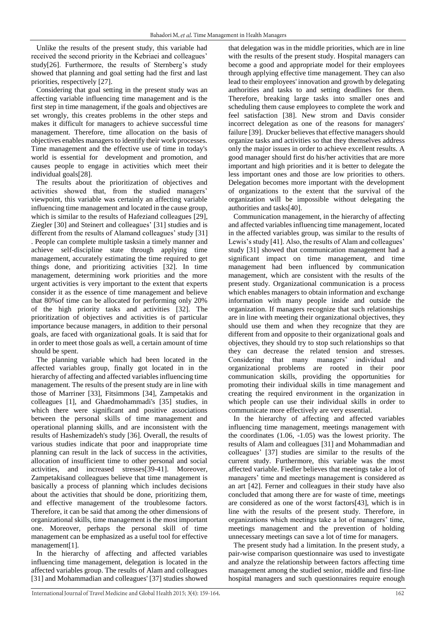Unlike the results of the present study, this variable had received the second priority in the Kebriaei and colleagues' study[26]. Furthermore, the results of Sternberg's study showed that planning and goal setting had the first and last priorities, respectively [27].

Considering that goal setting in the present study was an affecting variable influencing time management and is the first step in time management, if the goals and objectives are set wrongly, this creates problems in the other steps and makes it difficult for managers to achieve successful time management. Therefore, time allocation on the basis of objectives enables managers to identify their work processes. Time management and the effective use of time in today's world is essential for development and promotion, and causes people to engage in activities which meet their individual goals[28].

The results about the prioritization of objectives and activities showed that, from the studied managers' viewpoint, this variable was certainly an affecting variable influencing time management and located in the cause group, which is similar to the results of Hafeziand colleagues [29], Ziegler [30] and Steinert and colleagues' [31] studies and is different from the results of Alamand colleagues' study [31] . People can complete multiple tasksin a timely manner and achieve self-discipline state through applying time management, accurately estimating the time required to get things done, and prioritizing activities [32]. In time management, determining work priorities and the more urgent activities is very important to the extent that experts consider it as the essence of time management and believe that 80%of time can be allocated for performing only 20% of the high priority tasks and activities [32]. The prioritization of objectives and activities is of particular importance because managers, in addition to their personal goals, are faced with organizational goals. It is said that for in order to meet those goals as well, a certain amount of time should be spent.

The planning variable which had been located in the affected variables group, finally got located in in the hierarchy of affecting and affected variables influencing time management. The results of the present study are in line with those of Marriner [33], Fitsimmons [34], Zampetakis and colleagues [1], and Ghaedmohammadi's [35] studies, in which there were significant and positive associations between the personal skills of time management and operational planning skills, and are inconsistent with the results of Hashemizadeh's study [36]. Overall, the results of various studies indicate that poor and inappropriate time planning can result in the lack of success in the activities, allocation of insufficient time to other personal and social activities, and increased stresses[39-41]. Moreover, Zampetakisand colleagues believe that time management is basically a process of planning which includes decisions about the activities that should be done, prioritizing them, and effective management of the troublesome factors. Therefore, it can be said that among the other dimensions of organizational skills, time management is the most important one. Moreover, perhaps the personal skill of time management can be emphasized as a useful tool for effective management[1].

In the hierarchy of affecting and affected variables influencing time management, delegation is located in the affected variables group. The results of Alam and colleagues [31] and Mohammadian and colleagues' [37] studies showed that delegation was in the middle priorities, which are in line with the results of the present study. Hospital managers can become a good and appropriate model for their employees through applying effective time management. They can also lead to their employees' innovation and growth by delegating authorities and tasks to and setting deadlines for them. Therefore, breaking large tasks into smaller ones and scheduling them cause employees to complete the work and feel satisfaction [38]. New strom and Davis consider incorrect delegation as one of the reasons for managers' failure [39]. Drucker believes that effective managers should organize tasks and activities so that they themselves address only the major issues in order to achieve excellent results. A good manager should first do his/her activities that are more important and high priorities and it is better to delegate the less important ones and those are low priorities to others. Delegation becomes more important with the development of organizations to the extent that the survival of the organization will be impossible without delegating the authorities and tasks[40].

Communication management, in the hierarchy of affecting and affected variables influencing time management, located in the affected variables group, was similar to the results of Lewis's study [41]. Also, the results of Alam and colleagues' study [31] showed that communication management had a significant impact on time management, and time management had been influenced by communication management, which are consistent with the results of the present study. Organizational communication is a process which enables managers to obtain information and exchange information with many people inside and outside the organization. If managers recognize that such relationships are in line with meeting their organizational objectives, they should use them and when they recognize that they are different from and opposite to their organizational goals and objectives, they should try to stop such relationships so that they can decrease the related tension and stresses. Considering that many managers' individual and organizational problems are rooted in their poor communication skills, providing the opportunities for promoting their individual skills in time management and creating the required environment in the organization in which people can use their individual skills in order to communicate more effectively are very essential.

In the hierarchy of affecting and affected variables influencing time management, meetings management with the coordinates (1.06, -1.05) was the lowest priority. The results of Alam and colleagues [31] and Mohammadian and colleagues' [37] studies are similar to the results of the current study. Furthermore, this variable was the most affected variable. Fiedler believes that meetings take a lot of managers' time and meetings management is considered as an art [42]. Ferner and colleagues in their study have also concluded that among there are for waste of time, meetings are considered as one of the worst factors[43], which is in line with the results of the present study. Therefore, in organizations which meetings take a lot of managers' time, meetings management and the prevention of holding unnecessary meetings can save a lot of time for managers.

The present study had a limitation. In the present study, a pair-wise comparison questionnaire was used to investigate and analyze the relationship between factors affecting time management among the studied senior, middle and first-line hospital managers and such questionnaires require enough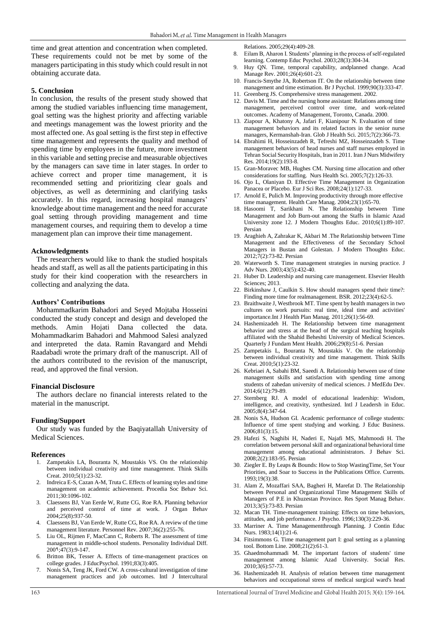time and great attention and concentration when completed. These requirements could not be met by some of the managers participating in this study which could result in not obtaining accurate data.

## **5. Conclusion**

In conclusion, the results of the present study showed that among the studied variables influencing time management, goal setting was the highest priority and affecting variable and meetings management was the lowest priority and the most affected one. As goal setting is the first step in effective time management and represents the quality and method of spending time by employees in the future, more investment in this variable and setting precise and measurable objectives by the managers can save time in later stages. In order to achieve correct and proper time management, it is recommended setting and prioritizing clear goals and objectives, as well as determining and clarifying tasks accurately. In this regard, increasing hospital managers' knowledge about time management and the need for accurate goal setting through providing management and time management courses, and requiring them to develop a time management plan can improve their time management.

## **Acknowledgments**

The researchers would like to thank the studied hospitals heads and staff, as well as all the patients participating in this study for their kind cooperation with the researchers in collecting and analyzing the data.

#### **Authors' Contributions**

Mohammadkarim Bahadori and Seyed Mojtaba Hosseini conducted the study concept and design and developed the methods. Amin Hojati Dana collected the data. Mohammadkarim Bahadori and Mahmood Salesi analyzed and interpreted the data. Ramin Ravangard and Mehdi Raadabadi wrote the primary draft of the manuscript. All of the authors contributed to the revision of the manuscript, read, and approved the final version.

## **Financial Disclosure**

The authors declare no financial interests related to the material in the manuscript.

#### **Funding/Support**

Our study was funded by the Baqiyatallah University of Medical Sciences.

#### **References**

- 1. Zampetakis LA, Bouranta N, Moustakis VS. On the relationship between individual creativity and time management. Think Skills Creat. 2010;5(1):23-32.
- 2. Indreica E-S, Cazan A-M, Truta C. Effects of learning styles and time management on academic achievement. Procedia Soc Behav Sci. 2011;30:1096-102.
- 3. Claessens BJ, Van Eerde W, Rutte CG, Roe RA. Planning behavior and perceived control of time at work. J Organ Behav 2004;25(8):937-50.
- 4. Claessens BJ, Van Eerde W, Rutte CG, Roe RA. A review of the time management literature. Personnel Rev. 2007;36(2):255-76.
- 5. Liu OL, Rijmen F, MacCann C, Roberts R. The assessment of time management in middle-school students. Personality Individual Diff.  $2009:47(3):9-147.$
- 6. Britton BK, Tesser A. Effects of time-management practices on college grades. J EducPsychol. 1991;83(3):405.
- 7. Nonis SA, Teng JK, Ford CW. A cross-cultural investigation of time management practices and job outcomes. Intl J Intercultural

Relations. 2005;29(4):409-28.

- 8. Eilam B, Aharon I. Students' planning in the process of self-regulated learning. Contemp Educ Psychol. 2003;28(3):304-34.
- 9. Huy QN. Time, temporal capability, andplanned change. Acad Manage Rev. 2001;26(4):601-23.
- 10. Francis‐Smythe JA, Robertson IT. On the relationship between time management and time estimation. Br J Psychol. 1999;90(3):333-47.
- 11. Greenberg JS. Comprehensive stress management. 2002.
- 12. Davis M. Time and the nursing home assistant: Relations among time management, perceived control over time, and work-related outcomes. Academy of Management, Toronto, Canada. 2000.
- 13. Ziapour A, Khatony A, Jafari F, Kianipour N. Evaluation of time management behaviors and its related factors in the senior nurse managers, Kermanshah-Iran. Glob J Health Sci. 2015;7(2):366-73.
- 14. Ebrahimi H, Hosseinzadeh R, Tefreshi MZ, Hosseinzadeh S. Time management behaviors of head nurses and staff nurses employed in Tehran Social Security Hospitals, Iran in 2011. Iran J Nurs Midwifery Res. 2014;19(2):193-8.
- 15. Gran‐Moravec MB, Hughes CM. Nursing time allocation and other considerations for staffing. Nurs Health Sci. 2005;7(2):126-33.
- 16. Ojo L, Olaniyan D. Effective Time Management in Organization Panacea or Placebo. Eur J Sci Res. 2008;24(1):127-33.
- 17. Arnold E, Pulich M. Improving productivity through more effective time management. Health Care Manag. 2004;23(1):65-70.
- 18. Hasoomi T, Sarikhani N. The Relationship between Time Management and Job Burn-out among the Staffs in Islamic Azad University zone 12. J Modern Thoughts Educ. 2010;6(1):89-107. Persian
- 19. Araghieh A, Zahrakar K, Akbari M .The Relationship between Time Management and the Effectiveness of the Secondary School Managers in Bustan and Golestan. J Modern Thoughts Educ. 2012;7(2):73-82. Persian
- 20. Waterworth S. Time management strategies in nursing practice. J Adv Nurs. 2003;43(5):432-40.
- 21. Huber D. Leadership and nursing care management. Elsevier Health Sciences; 2013.
- 22. Birkinshaw J, Caulkin S. How should managers spend their time?: Finding more time for realmanagement. BSR. 2012;23(4):62-5.
- 23. Braithwaite J, Westbrook MT. Time spent by health managers in two cultures on work pursuits: real time, ideal time and activities' importance.Int J Health Plan Manag. 2011;26(1):56-69.
- 24. Hashemizadeh H. The Relationship between time management behavior and stress at the head of the surgical teaching hospitals affiliated with the Shahid Beheshti University of Medical Sciences. Quarterly J Fundam Ment Health. 2006;29(8):51-6. Persian
- 25. Zampetakis L, Bouranta N, Moustakis V. On the relationship between individual creativity and time management. Think Skills Creat. 2010;5(1):23-32.
- 26. Kebriaei A, Sabahi BM, Saeedi A. Relationship between use of time management skills and satisfaction with spending time among students of zahedan university of medical sciences. J MedEdu Dev. 2014;6(12):79-89.
- 27. Sternberg RJ. A model of educational leadership: Wisdom, intelligence, and creativity, synthesized. Intl J Leadersh in Educ. 2005;8(4):347-64.
- 28. Nonis SA, Hudson GI. Academic performance of college students: Influence of time spent studying and working. J Educ Business. 2006;81(3):15.
- 29. Hafezi S, Naghibi H, Naderi E, Najafi MS, Mahmoodi H. The correlation between personal skill and organizational behavioral time management among educational administrators. J Behav Sci. 2008;2(2):183-95. Persian
- 30. Ziegler E. By Leaps & Bounds: How to Stop WastingTime, Set Your Priorities, and Soar to Success in the Publications Office. Currents. 1993;19(3):38.
- 31. Alam Z, Mozaffari SAA, Bagheri H, Marefat D. The Relationship between Personal and Organizational Time Management Skills of Managers of P.E in Khuzestan Province. Res Sport Manag Behav. 2013;3(5):73-83. Persian
- 32. Macan TH. Time-management training: Effects on time behaviors, attitudes, and job performance. J Psycho. 1996;130(3):229-36.
- 33. Marriner A. Time Managementthrough Planning. J Contin Educ Nurs. 1983;14(1):21-6.
- 34. Fitsimmons G. Time management part I: goal setting as a planning tool. Bottom Line. 2008;21(2):61-3.
- 35. Ghaedmohammadi M. The important factors of students' time management among Islamic Azad University. Social Res.  $2010;3(6):57-73.$
- 36. Hashemizadeh H. Analysis of relation between time management behaviors and occupational stress of medical surgical ward's head